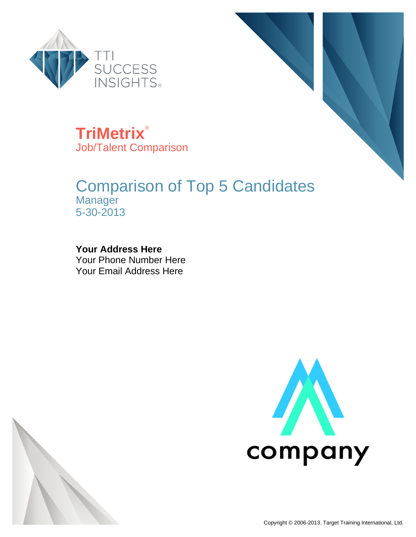



**TriMetrix**® Job/Talent Comparison

### Comparison of Top 5 Candidates **Manager** 5-30-2013

#### **Your Address Here** Your Phone Number Here Your Email Address Here



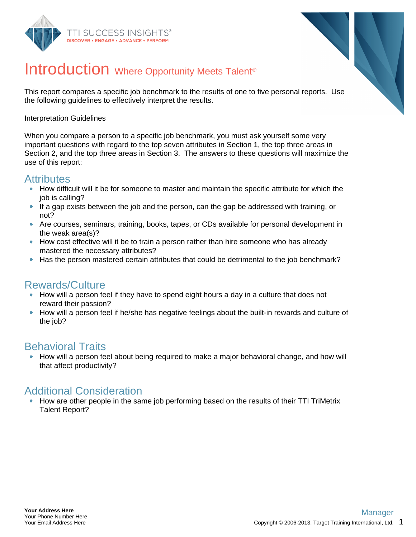



### Introduction Where Opportunity Meets Talent<sup>®</sup>

This report compares a specific job benchmark to the results of one to five personal reports. Use the following guidelines to effectively interpret the results.

#### Interpretation Guidelines

When you compare a person to a specific job benchmark, you must ask yourself some very important questions with regard to the top seven attributes in Section 1, the top three areas in Section 2, and the top three areas in Section 3. The answers to these questions will maximize the use of this report:

#### **Attributes**

- How difficult will it be for someone to master and maintain the specific attribute for which the job is calling?
- If a gap exists between the job and the person, can the gap be addressed with training, or not?
- Are courses, seminars, training, books, tapes, or CDs available for personal development in the weak area(s)?
- How cost effective will it be to train a person rather than hire someone who has already mastered the necessary attributes?
- Has the person mastered certain attributes that could be detrimental to the job benchmark?

### Rewards/Culture

- How will a person feel if they have to spend eight hours a day in a culture that does not reward their passion?
- How will a person feel if he/she has negative feelings about the built-in rewards and culture of the job?

#### Behavioral Traits

How will a person feel about being required to make a major behavioral change, and how will that affect productivity?

#### Additional Consideration

• How are other people in the same job performing based on the results of their TTI TriMetrix Talent Report?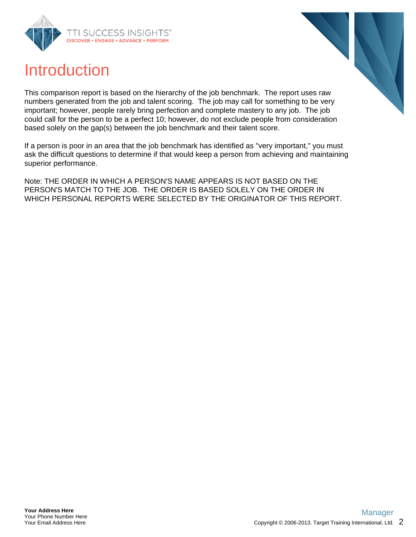



### Introduction

This comparison report is based on the hierarchy of the job benchmark. The report uses raw numbers generated from the job and talent scoring. The job may call for something to be very important; however, people rarely bring perfection and complete mastery to any job. The job could call for the person to be a perfect 10; however, do not exclude people from consideration based solely on the gap(s) between the job benchmark and their talent score.

If a person is poor in an area that the job benchmark has identified as "very important," you must ask the difficult questions to determine if that would keep a person from achieving and maintaining superior performance.

Note: THE ORDER IN WHICH A PERSON'S NAME APPEARS IS NOT BASED ON THE PERSON'S MATCH TO THE JOB. THE ORDER IS BASED SOLELY ON THE ORDER IN WHICH PERSONAL REPORTS WERE SELECTED BY THE ORIGINATOR OF THIS REPORT.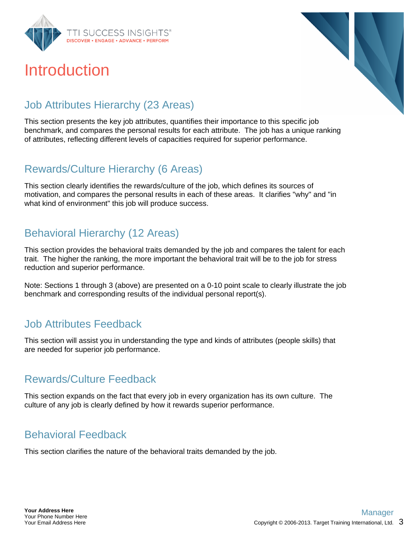

## Introduction



### Job Attributes Hierarchy (23 Areas)

This section presents the key job attributes, quantifies their importance to this specific job benchmark, and compares the personal results for each attribute. The job has a unique ranking of attributes, reflecting different levels of capacities required for superior performance.

### Rewards/Culture Hierarchy (6 Areas)

This section clearly identifies the rewards/culture of the job, which defines its sources of motivation, and compares the personal results in each of these areas. It clarifies "why" and "in what kind of environment" this job will produce success.

### Behavioral Hierarchy (12 Areas)

This section provides the behavioral traits demanded by the job and compares the talent for each trait. The higher the ranking, the more important the behavioral trait will be to the job for stress reduction and superior performance.

Note: Sections 1 through 3 (above) are presented on a 0-10 point scale to clearly illustrate the job benchmark and corresponding results of the individual personal report(s).

### Job Attributes Feedback

This section will assist you in understanding the type and kinds of attributes (people skills) that are needed for superior job performance.

### Rewards/Culture Feedback

This section expands on the fact that every job in every organization has its own culture. The culture of any job is clearly defined by how it rewards superior performance.

### Behavioral Feedback

This section clarifies the nature of the behavioral traits demanded by the job.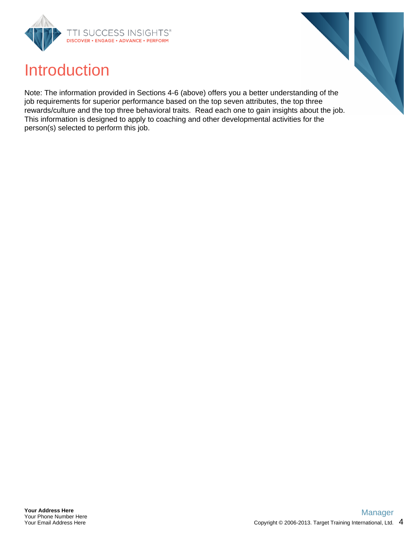



Note: The information provided in Sections 4-6 (above) offers you a better understanding of the job requirements for superior performance based on the top seven attributes, the top three rewards/culture and the top three behavioral traits. Read each one to gain insights about the job. This information is designed to apply to coaching and other developmental activities for the person(s) selected to perform this job.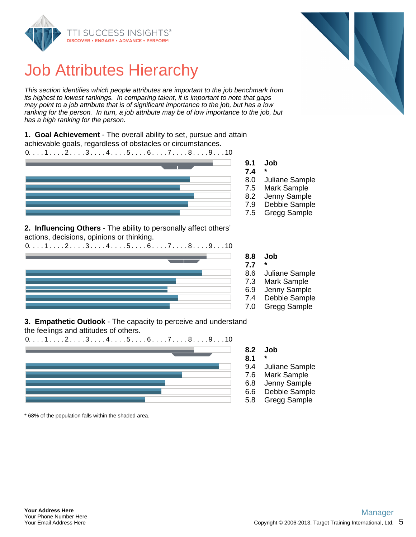

This section identifies which people attributes are important to the job benchmark from its highest to lowest rankings. In comparing talent, it is important to note that gaps may point to a job attribute that is of significant importance to the job, but has a low ranking for the person. In turn, a job attribute may be of low importance to the job, but has a high ranking for the person.

**1. Goal Achievement** - The overall ability to set, pursue and attain achievable goals, regardless of obstacles or circumstances.



**2. Influencing Others** - The ability to personally affect others' actions, decisions, opinions or thinking.



- 
- 
- 
- 
- 
- 

**3. Empathetic Outlook** - The capacity to perceive and understand

the feelings and attitudes of others.



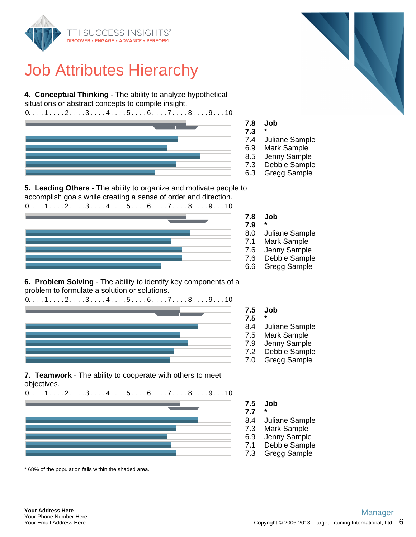

**4. Conceptual Thinking** - The ability to analyze hypothetical situations or abstract concepts to compile insight.

 $0. \ldots 1 \ldots 2 \ldots 3 \ldots 4 \ldots 5 \ldots 6 \ldots 7 \ldots 8 \ldots 9 \ldots 10$ 





- 7.4 Juliane Sample
- 6.9 Mark Sample
- 8.5 Jenny Sample
- 7.3 Debbie Sample
- 6.3 Gregg Sample

**5. Leading Others** - The ability to organize and motivate people to accomplish goals while creating a sense of order and direction.  $0. \ldots 1 \ldots 2 \ldots 3 \ldots 4 \ldots 5 \ldots 6 \ldots 7 \ldots 8 \ldots 9 \ldots 10$ 



**6. Problem Solving** - The ability to identify key components of a problem to formulate a solution or solutions.



**7.5 Job**

- **7.5 \***
- 8.4 Juliane Sample
- 7.5 Mark Sample
- 7.9 Jenny Sample
- 7.2 Debbie Sample
- 7.0 Gregg Sample

**7. Teamwork** - The ability to cooperate with others to meet objectives.



- **7.5 Job**
- **7.7 \***
- 8.4 Juliane Sample
- 7.3 Mark Sample
- 6.9 Jenny Sample
- 7.1 Debbie Sample
- 7.3 Gregg Sample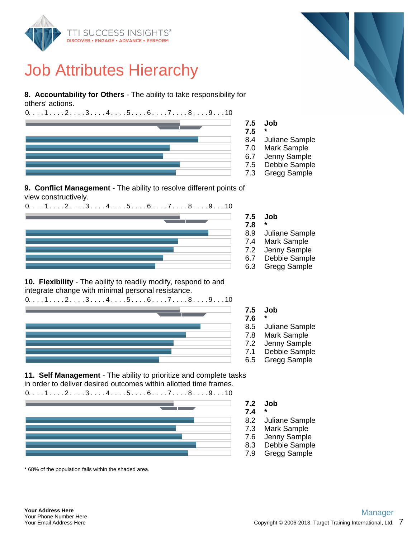

**8. Accountability for Others** - The ability to take responsibility for others' actions.



#### **9. Conflict Management** - The ability to resolve different points of view constructively.

 $0. \ldots 1 \ldots 2 \ldots 3 \ldots 4 \ldots 5 \ldots 6 \ldots 7 \ldots 8 \ldots 9 \ldots 10$ 



**10. Flexibility** - The ability to readily modify, respond to and integrate change with minimal personal resistance.



**7.5 Job 7.6 \***

- 8.5 Juliane Sample
- 7.8 Mark Sample
- 7.2 Jenny Sample
- 7.1 Debbie Sample
- 6.5 Gregg Sample

**11. Self Management** - The ability to prioritize and complete tasks in order to deliver desired outcomes within allotted time frames.



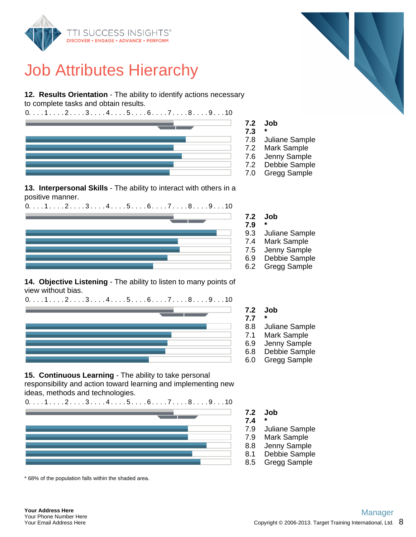

**12. Results Orientation** - The ability to identify actions necessary to complete tasks and obtain results.





- 7.8 Juliane Sample
- 7.2 Mark Sample
- 7.6 Jenny Sample
- 7.2 Debbie Sample
- 7.0 Gregg Sample

**13. Interpersonal Skills** - The ability to interact with others in a positive manner.





**14. Objective Listening** - The ability to listen to many points of view without bias.



**15. Continuous Learning** - The ability to take personal responsibility and action toward learning and implementing new ideas, methods and technologies.



\* 68% of the population falls within the shaded area.

**7.2 Job**

- **7.7 \***
- 8.8 Juliane Sample
- 7.1 Mark Sample
- 6.9 Jenny Sample
- 6.8 Debbie Sample
- 6.0 Gregg Sample
- **7.2 Job**
- **7.4 \***
- 7.9 Juliane Sample
- 7.9 Mark Sample
- 8.8 Jenny Sample
- 8.1 Debbie Sample
- 8.5 Gregg Sample

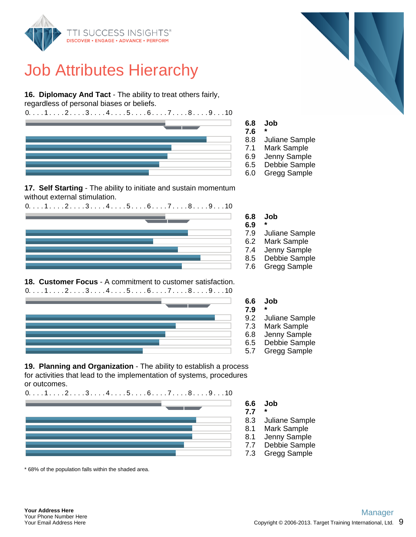

**16. Diplomacy And Tact** - The ability to treat others fairly,

regardless of personal biases or beliefs.



**17. Self Starting** - The ability to initiate and sustain momentum

without external stimulation.  $0. \ldots 1 \ldots 2 \ldots 3 \ldots 4 \ldots 5 \ldots 6 \ldots 7 \ldots 8 \ldots 9 \ldots 10$ 



#### **18. Customer Focus** - A commitment to customer satisfaction.  $0. \ldots 1 \ldots 2 \ldots 3 \ldots 4 \ldots 5 \ldots 6 \ldots 7 \ldots 8 \ldots 9 \ldots 10$



**19. Planning and Organization** - The ability to establish a process for activities that lead to the implementation of systems, procedures or outcomes.



\* 68% of the population falls within the shaded area.



**6.8 Job**

- 
- 8.8 Juliane Sample
- 7.1 Mark Sample
- 6.9 Jenny Sample
- 6.5 Debbie Sample
- 6.0 Gregg Sample

**6.8 Job**

- 
- 7.9 Juliane Sample
- 6.2 Mark Sample
- 7.4 Jenny Sample
- 8.5 Debbie Sample
- 7.6 Gregg Sample

**6.6 Job**

- 
- 9.2 Juliane Sample
- 7.3 Mark Sample
- 6.8 Jenny Sample
- 6.5 Debbie Sample 5.7 Gregg Sample

#### **6.6 Job**

**7.7 \***

- 8.3 Juliane Sample
- 8.1 Mark Sample
- 8.1 Jenny Sample
- 7.7 Debbie Sample
- 7.3 Gregg Sample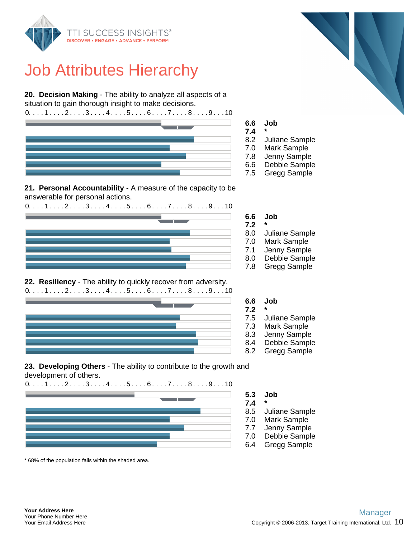

**20. Decision Making** - The ability to analyze all aspects of a situation to gain thorough insight to make decisions.



#### **21. Personal Accountability** - A measure of the capacity to be answerable for personal actions.

 $0. \ldots 1 \ldots 2 \ldots 3 \ldots 4 \ldots 5 \ldots 6 \ldots 7 \ldots 8 \ldots 9 \ldots 10$ 



#### **22. Resiliency** - The ability to quickly recover from adversity.  $0. \ldots 1 \ldots 2 \ldots 3 \ldots 4 \ldots 5 \ldots 6 \ldots 7 \ldots 8 \ldots 9 \ldots 10$



**23. Developing Others** - The ability to contribute to the growth and development of others.

 $0. \ldots 1 \ldots 2 \ldots 3 \ldots 4 \ldots 5 \ldots 6 \ldots 7 \ldots 8 \ldots 9 \ldots 10$ 

\* 68% of the population falls within the shaded area.

#### **6.6 Job**

**7.2 \***

- 8.0 Juliane Sample
- 7.0 Mark Sample
- 7.1 Jenny Sample
- 8.0 Debbie Sample
- 7.8 Gregg Sample

#### **6.6 Job**

- 7.5 Juliane Sample
- 7.3 Mark Sample
- 8.3 Jenny Sample
- 8.4 Debbie Sample
- 8.2 Gregg Sample
- **5.3 Job**
- **7.4 \***
- 8.5 Juliane Sample
- 7.0 Mark Sample
- 7.7 Jenny Sample
- 7.0 Debbie Sample
- 6.4 Gregg Sample

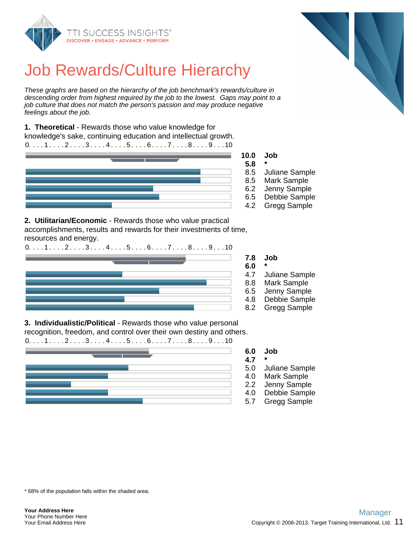

# Job Rewards/Culture Hierarchy

These graphs are based on the hierarchy of the job benchmark's rewards/culture in descending order from highest required by the job to the lowest. Gaps may point to a job culture that does not match the person's passion and may produce negative feelings about the job.

**1. Theoretical** - Rewards those who value knowledge for knowledge's sake, continuing education and intellectual growth.  $0. \ldots 1 \ldots 2 \ldots 3 \ldots 4 \ldots 5 \ldots 6 \ldots 7 \ldots 8 \ldots 9 \ldots 10$ 



**10.0 Job**

- 8.5 Juliane Sample
- 8.5 Mark Sample
- 6.2 Jenny Sample
- 6.5 Debbie Sample
- 4.2 Gregg Sample

**2. Utilitarian/Economic** - Rewards those who value practical accomplishments, results and rewards for their investments of time, resources and energy.



**7.8 Job**

- 
- 4.7 Juliane Sample
- 8.8 Mark Sample
- 6.5 Jenny Sample
- 4.8 Debbie Sample
- 8.2 Gregg Sample

**3. Individualistic/Political** - Rewards those who value personal recognition, freedom, and control over their own destiny and others.



#### **6.0 Job**

- **4.7 \***
- 5.0 Juliane Sample
- 4.0 Mark Sample
- 2.2 Jenny Sample
- 4.0 Debbie Sample 5.7 Gregg Sample

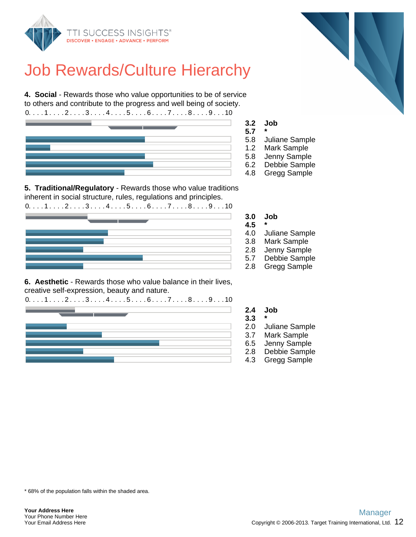

## Job Rewards/Culture Hierarchy

**4. Social** - Rewards those who value opportunities to be of service to others and contribute to the progress and well being of society.  $0. \ldots 1 \ldots 2 \ldots 3 \ldots 4 \ldots 5 \ldots 6 \ldots 7 \ldots 8 \ldots 9 \ldots 10$ 



**3.2 Job**

- 5.8 Juliane Sample
- 1.2 Mark Sample
- 5.8 Jenny Sample
- 6.2 Debbie Sample
- 4.8 Gregg Sample

**5. Traditional/Regulatory** - Rewards those who value traditions inherent in social structure, rules, regulations and principles.

 $0. \ldots 1 \ldots 2 \ldots 3 \ldots 4 \ldots 5 \ldots 6 \ldots 7 \ldots 8 \ldots 9 \ldots 10$ 



**6. Aesthetic** - Rewards those who value balance in their lives, creative self-expression, beauty and nature.



**3.0 Job**

**4.5 \***

**2.4 Job 3.3 \***

- 4.0 Juliane Sample
- 3.8 Mark Sample
- 2.8 Jenny Sample
- 5.7 Debbie Sample
- 2.8 Gregg Sample

2.0 Juliane Sample 3.7 Mark Sample 6.5 Jenny Sample 2.8 Debbie Sample 4.3 Gregg Sample

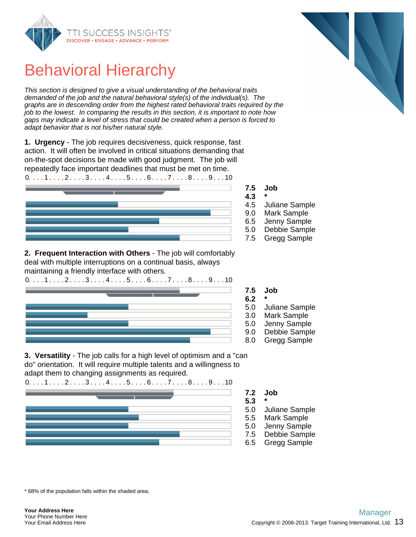

This section is designed to give a visual understanding of the behavioral traits demanded of the job and the natural behavioral style(s) of the individual(s). The graphs are in descending order from the highest rated behavioral traits required by the job to the lowest. In comparing the results in this section, it is important to note how gaps may indicate a level of stress that could be created when a person is forced to adapt behavior that is not his/her natural style.

**1. Urgency** - The job requires decisiveness, quick response, fast action. It will often be involved in critical situations demanding that on-the-spot decisions be made with good judgment. The job will repeatedly face important deadlines that must be met on time.



**2. Frequent Interaction with Others** - The job will comfortably deal with multiple interruptions on a continual basis, always maintaining a friendly interface with others.



- 
- 4.5 Juliane Sample
- 9.0 Mark Sample
- 6.5 Jenny Sample
- 5.0 Debbie Sample
- 7.5 Gregg Sample
- **7.5 Job**
- **6.2 \***
- 5.0 Juliane Sample
- 3.0 Mark Sample
- 5.0 Jenny Sample
- 9.0 Debbie Sample
- 8.0 Gregg Sample

**3. Versatility** - The job calls for a high level of optimism and a "can do" orientation. It will require multiple talents and a willingness to adapt them to changing assignments as required.



- **7.2 Job**
- **5.3 \***
- 5.0 Juliane Sample
- 5.5 Mark Sample
- 5.0 Jenny Sample
- 7.5 Debbie Sample
- 6.5 Gregg Sample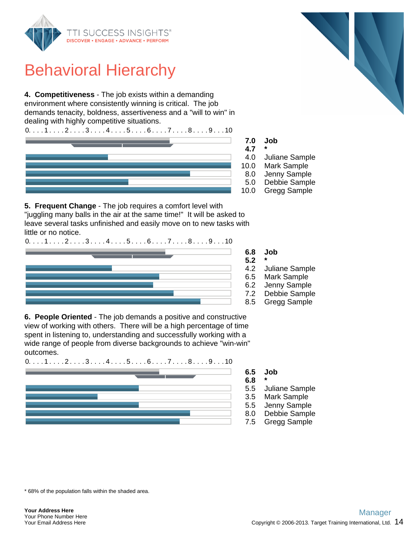

**4. Competitiveness** - The job exists within a demanding environment where consistently winning is critical. The job demands tenacity, boldness, assertiveness and a "will to win" in dealing with highly competitive situations.



- 4.0 Juliane Sample
- 10.0 Mark Sample
- 8.0 Jenny Sample
- 5.0 Debbie Sample
- 10.0 Gregg Sample

**5. Frequent Change** - The job requires a comfort level with "juggling many balls in the air at the same time!" It will be asked to leave several tasks unfinished and easily move on to new tasks with little or no notice.



**6.8 Job**

- Juliane Sample
- 6.5 Mark Sample
- 6.2 Jenny Sample
- 7.2 Debbie Sample
- 8.5 Gregg Sample

**6. People Oriented** - The job demands a positive and constructive view of working with others. There will be a high percentage of time spent in listening to, understanding and successfully working with a wide range of people from diverse backgrounds to achieve "win-win" outcomes.

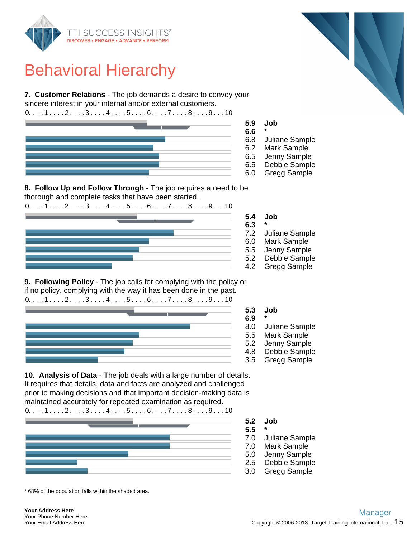

**7. Customer Relations** - The job demands a desire to convey your sincere interest in your internal and/or external customers.



- 
- 6.8 Juliane Sample
- 6.2 Mark Sample
- 6.5 Jenny Sample
- 6.5 Debbie Sample
- 6.0 Gregg Sample

**8. Follow Up and Follow Through** - The job requires a need to be thorough and complete tasks that have been started.

 $0. \ldots 1 \ldots 2 \ldots 3 \ldots 4 \ldots 5 \ldots 6 \ldots 7 \ldots 8 \ldots 9 \ldots 10$ 



**9. Following Policy** - The job calls for complying with the policy or if no policy, complying with the way it has been done in the past.



**5.3 Job**

- 
- 8.0 Juliane Sample
- 5.5 Mark Sample
- 5.2 Jenny Sample
- 4.8 Debbie Sample
- 3.5 Gregg Sample

**10. Analysis of Data** - The job deals with a large number of details. It requires that details, data and facts are analyzed and challenged prior to making decisions and that important decision-making data is maintained accurately for repeated examination as required.



- **5.2 Job**
- **5.5 \***
- 7.0 Juliane Sample
- 7.0 Mark Sample
- 5.0 Jenny Sample
- 2.5 Debbie Sample
- 3.0 Gregg Sample

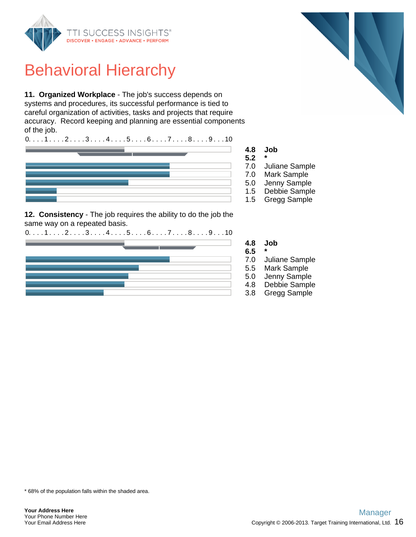

**11. Organized Workplace** - The job's success depends on systems and procedures, its successful performance is tied to careful organization of activities, tasks and projects that require accuracy. Record keeping and planning are essential components of the job.



**12. Consistency** - The job requires the ability to do the job the same way on a repeated basis.





- 7.0 Juliane Sample
- 7.0 Mark Sample
- 5.0 Jenny Sample
- 1.5 Debbie Sample
- 1.5 Gregg Sample

**4.8 Job**

- 
- 7.0 Juliane Sample
- 5.5 Mark Sample
- 5.0 Jenny Sample
- 4.8 Debbie Sample
- 3.8 Gregg Sample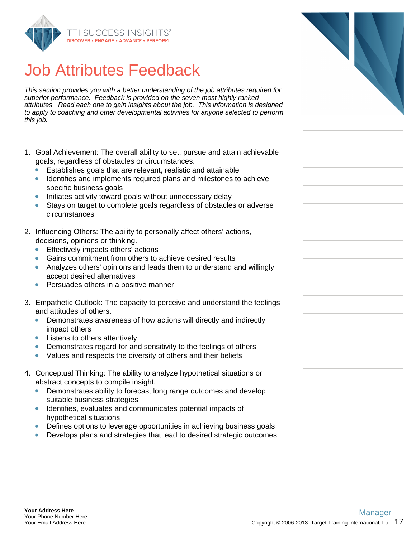

## Job Attributes Feedback

This section provides you with a better understanding of the job attributes required for superior performance. Feedback is provided on the seven most highly ranked attributes. Read each one to gain insights about the job. This information is designed to apply to coaching and other developmental activities for anyone selected to perform this job.

- 1. Goal Achievement: The overall ability to set, pursue and attain achievable goals, regardless of obstacles or circumstances.
	- Establishes goals that are relevant, realistic and attainable
	- Identifies and implements required plans and milestones to achieve specific business goals
	- Initiates activity toward goals without unnecessary delay
	- Stays on target to complete goals regardless of obstacles or adverse circumstances
- 2. Influencing Others: The ability to personally affect others' actions, decisions, opinions or thinking.
	- Effectively impacts others' actions
	- Gains commitment from others to achieve desired results
	- Analyzes others' opinions and leads them to understand and willingly accept desired alternatives
	- Persuades others in a positive manner
- 3. Empathetic Outlook: The capacity to perceive and understand the feelings and attitudes of others.
	- Demonstrates awareness of how actions will directly and indirectly impact others
	- Listens to others attentively
	- Demonstrates regard for and sensitivity to the feelings of others  $\bullet$
	- Values and respects the diversity of others and their beliefs  $\bullet$
- 4. Conceptual Thinking: The ability to analyze hypothetical situations or abstract concepts to compile insight.
	- Demonstrates ability to forecast long range outcomes and develop suitable business strategies
	- Identifies, evaluates and communicates potential impacts of hypothetical situations
	- Defines options to leverage opportunities in achieving business goals
	- Develops plans and strategies that lead to desired strategic outcomes

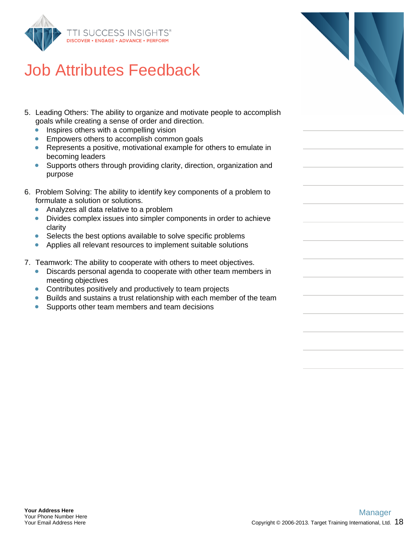

## Job Attributes Feedback

- 5. Leading Others: The ability to organize and motivate people to accomplish goals while creating a sense of order and direction.
	- $\bullet$ Inspires others with a compelling vision
	- Empowers others to accomplish common goals  $\bullet$
	- Represents a positive, motivational example for others to emulate in becoming leaders
	- Supports others through providing clarity, direction, organization and  $\bullet$ purpose
- 6. Problem Solving: The ability to identify key components of a problem to formulate a solution or solutions.
	- Analyzes all data relative to a problem  $\bullet$
	- Divides complex issues into simpler components in order to achieve clarity
	- Selects the best options available to solve specific problems  $\bullet$
	- Applies all relevant resources to implement suitable solutions  $\bullet$
- 7. Teamwork: The ability to cooperate with others to meet objectives.
	- Discards personal agenda to cooperate with other team members in meeting objectives
	- **Contributes positively and productively to team projects**
	- Builds and sustains a trust relationship with each member of the team
	- Supports other team members and team decisions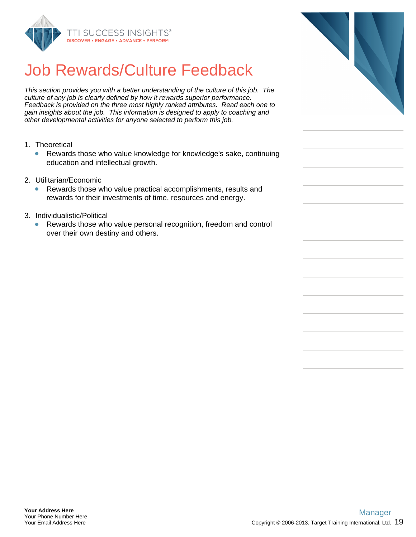

# Job Rewards/Culture Feedback

This section provides you with a better understanding of the culture of this job. The culture of any job is clearly defined by how it rewards superior performance. Feedback is provided on the three most highly ranked attributes. Read each one to gain insights about the job. This information is designed to apply to coaching and other developmental activities for anyone selected to perform this job.

- 1. Theoretical
	- Rewards those who value knowledge for knowledge's sake, continuing  $\bullet$ education and intellectual growth.
- 2. Utilitarian/Economic
	- $\bullet$ Rewards those who value practical accomplishments, results and rewards for their investments of time, resources and energy.
- 3. Individualistic/Political
	- $\bullet$ Rewards those who value personal recognition, freedom and control over their own destiny and others.